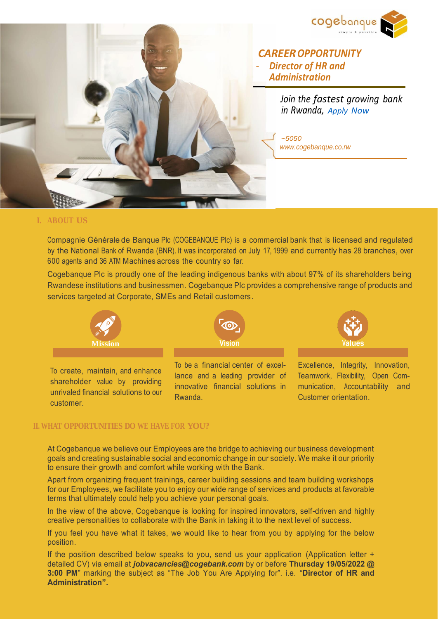



 *CAREEROPPORTUNITY - Director of HR and Administration*

> *Join the fastest growing bank in Rwanda, [Apply](https://bit.ly/HRAdminCoge) Now*

> > Customer orientation.

*~5050 [www.cogebanque.co.rw](http://www.cogebanque.co.rw/)*

## **I. ABOUT US**

customer.

Compagnie Générale de Banque Plc (COGEBANQUE Plc) is a commercial bank that is licensed and regulated by the National Bank of Rwanda (BNR). It was incorporated on July 17, 1999 and currently has 28 branches, over 600 agents and 36 ATM Machines across the country so far.

Cogebanque Plc is proudly one of the leading indigenous banks with about 97% of its shareholders being Rwandese institutions and businessmen. Cogebanque Plc provides a comprehensive range of products and services targeted at Corporate, SMEs and Retail customers.



## **II. WHAT OPPORTUNITIES DO WE HAVE FOR YOU?**

At Cogebanque we believe our Employees are the bridge to achieving our business development goals and creating sustainable social and economic change in our society. We make it our priority to ensure their growth and comfort while working with the Bank.

Rwanda.

Apart from organizing frequent trainings, career building sessions and team building workshops for our Employees, we facilitate you to enjoy our wide range of services and products at favorable terms that ultimately could help you achieve your personal goals.

In the view of the above, Cogebanque is looking for inspired innovators, self-driven and highly creative personalities to collaborate with the Bank in taking it to the next level of success.

If you feel you have what it takes, we would like to hear from you by applying for the below position.

If the position described below speaks to you, send us your application (Application letter + detailed CV) via email at *jobvacancies@cogebank.com* by or before **Thursday 19/05/2022 @ 3:00 PM**" marking the subject as "The Job You Are Applying for". i.e. "**Director of HR and Administration".**